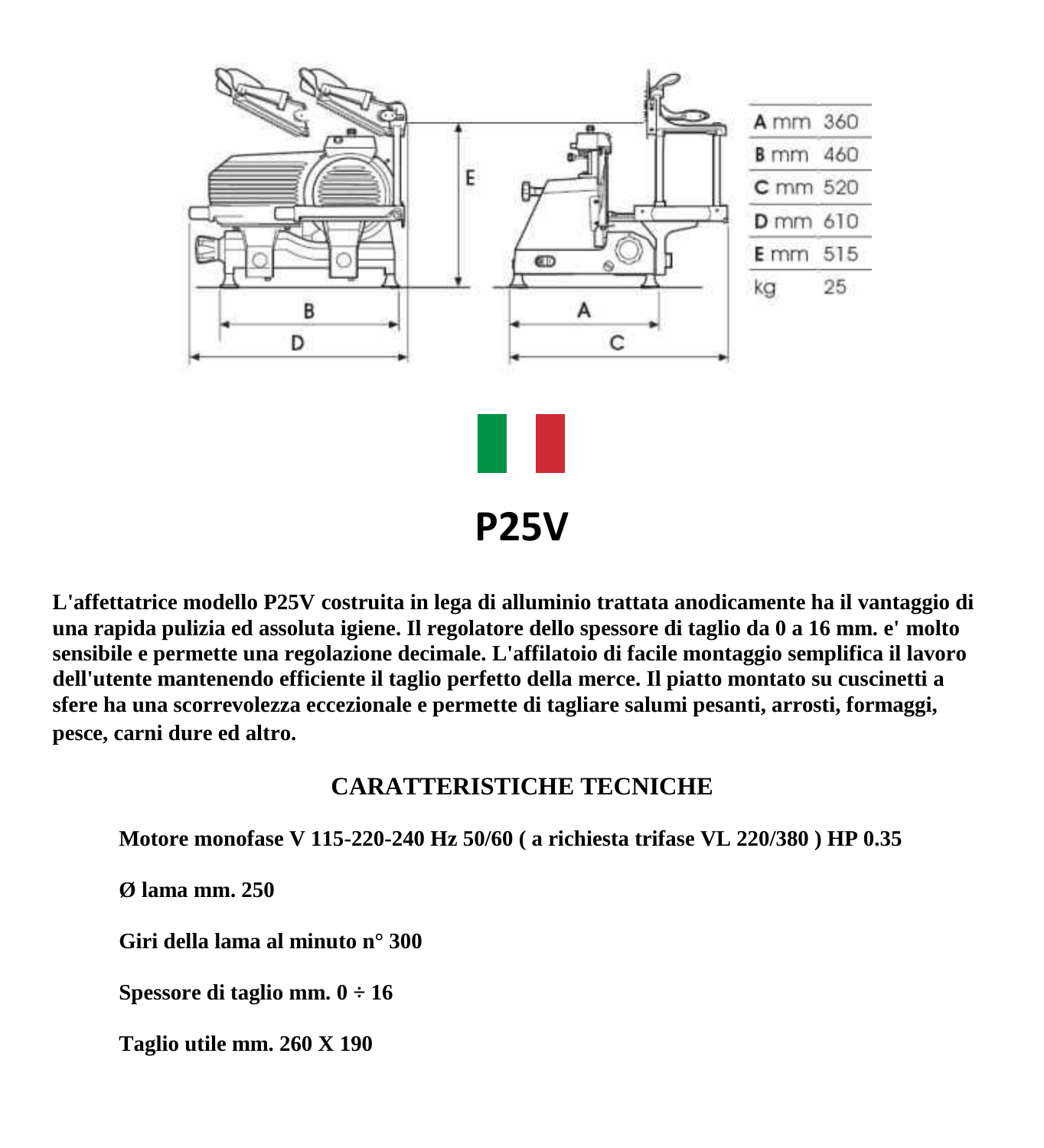

**L'affettatrice modello P25V costruita in lega di alluminio trattata anodicamente ha il vantaggio di una rapida pulizia ed assoluta igiene. Il regolatore dello spessore di taglio da 0 a 16 mm. e' molto sensibile e permette una regolazione decimale. L'affilatoio di facile montaggio semplifica il lavoro dell'utente mantenendo efficiente il taglio perfetto della merce. Il piatto montato su cuscinetti a sfere ha una scorrevolezza eccezionale e permette di tagliare salumi pesanti, arrosti, formaggi, pesce, carni dure ed altro.** 

## **CARATTERISTICHE TECNICHE**

**Motore monofase V 115-220-240 Hz 50/60 ( a richiesta trifase VL 220/380 ) HP 0.35**

**Ø lama mm. 250**

**Giri della lama al minuto n° 300**

**Spessore di taglio mm. 0 ÷ 16**

**Taglio utile mm. 260 X 190**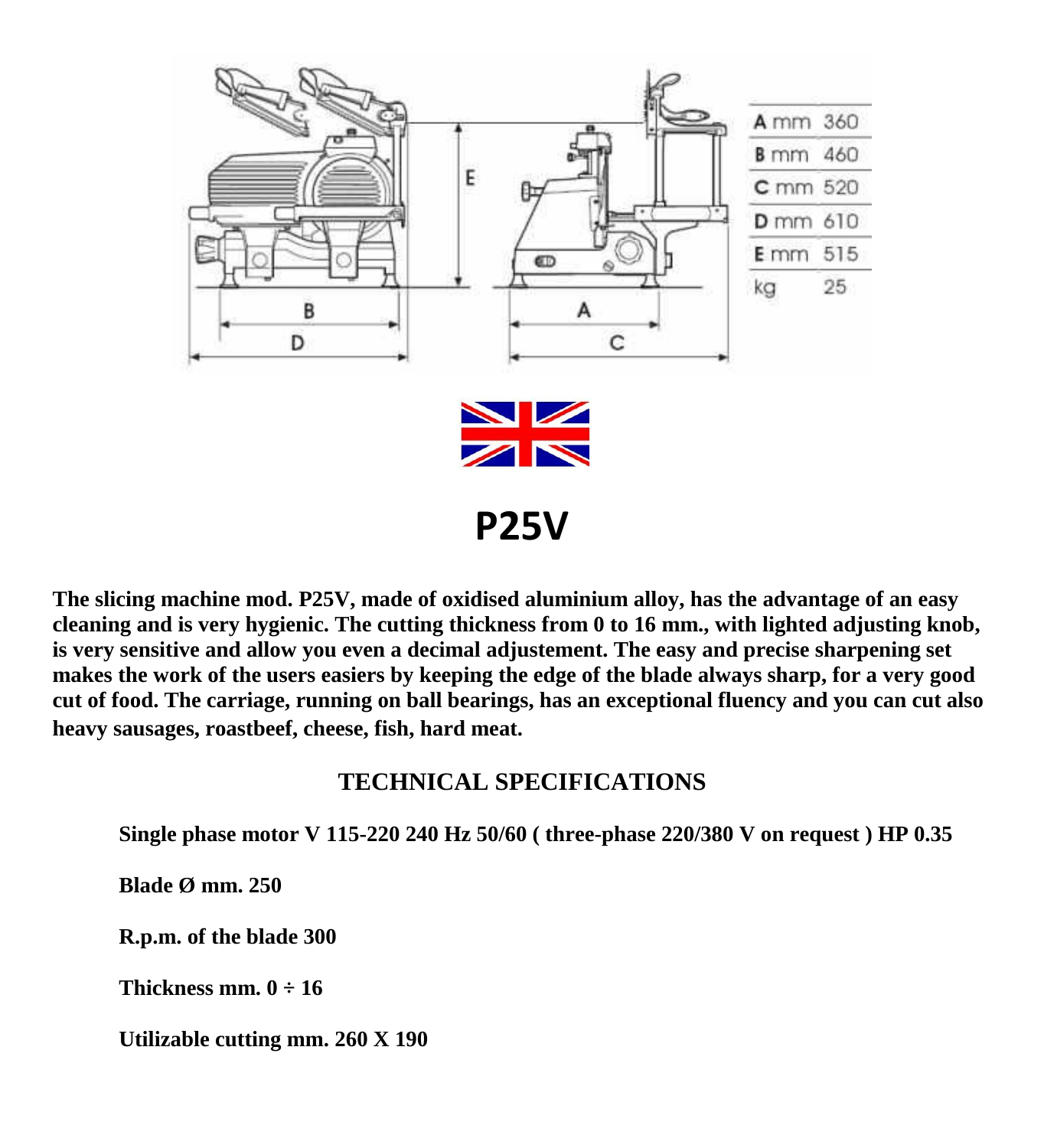

**The slicing machine mod. P25V, made of oxidised aluminium alloy, has the advantage of an easy cleaning and is very hygienic. The cutting thickness from 0 to 16 mm., with lighted adjusting knob, is very sensitive and allow you even a decimal adjustement. The easy and precise sharpening set makes the work of the users easiers by keeping the edge of the blade always sharp, for a very good cut of food. The carriage, running on ball bearings, has an exceptional fluency and you can cut also heavy sausages, roastbeef, cheese, fish, hard meat.** 

## **TECHNICAL SPECIFICATIONS**

**Single phase motor V 115-220 240 Hz 50/60 ( three-phase 220/380 V on request ) HP 0.35**

**Blade Ø mm. 250**

**R.p.m. of the blade 300**

**Thickness mm.**  $0 \div 16$ 

**Utilizable cutting mm. 260 X 190**